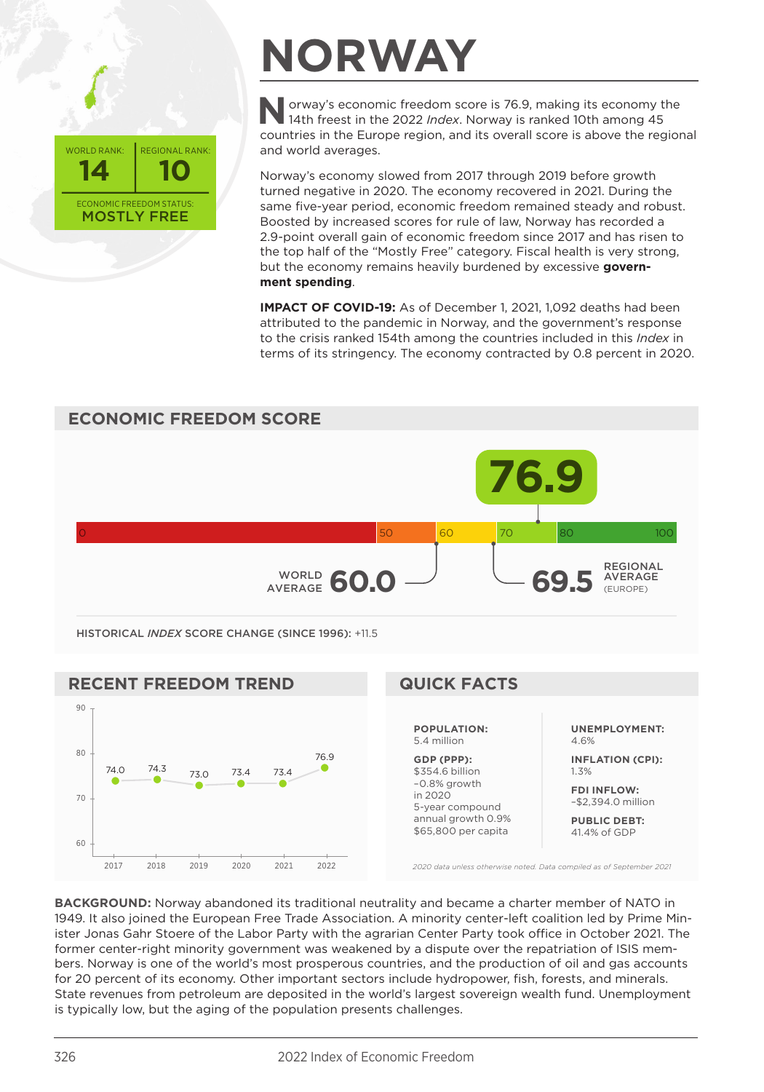

## **NORWAY**

**Norway's economic freedom score is 76.9, making its economy the 14th freest in the 2022** *Index***. Norway is ranked 10th among 45** countries in the Europe region, and its overall score is above the regional and world averages.

Norway's economy slowed from 2017 through 2019 before growth turned negative in 2020. The economy recovered in 2021. During the same five-year period, economic freedom remained steady and robust. Boosted by increased scores for rule of law, Norway has recorded a 2.9-point overall gain of economic freedom since 2017 and has risen to the top half of the "Mostly Free" category. Fiscal health is very strong, but the economy remains heavily burdened by excessive **government spending**.

**IMPACT OF COVID-19:** As of December 1, 2021, 1,092 deaths had been attributed to the pandemic in Norway, and the government's response to the crisis ranked 154th among the countries included in this *Index* in terms of its stringency. The economy contracted by 0.8 percent in 2020.



*2020 data unless otherwise noted. Data compiled as of September 2021*

**BACKGROUND:** Norway abandoned its traditional neutrality and became a charter member of NATO in 1949. It also joined the European Free Trade Association. A minority center-left coalition led by Prime Minister Jonas Gahr Stoere of the Labor Party with the agrarian Center Party took office in October 2021. The former center-right minority government was weakened by a dispute over the repatriation of ISIS members. Norway is one of the world's most prosperous countries, and the production of oil and gas accounts for 20 percent of its economy. Other important sectors include hydropower, fish, forests, and minerals. State revenues from petroleum are deposited in the world's largest sovereign wealth fund. Unemployment is typically low, but the aging of the population presents challenges.

2017 2018 2019 2020 2021 2022